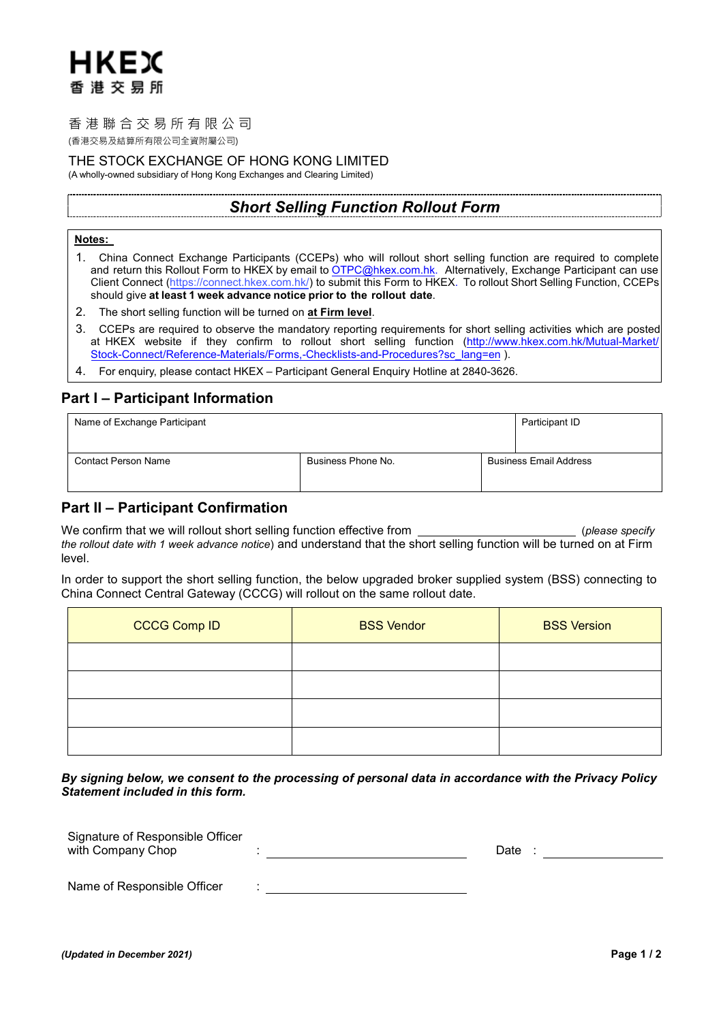# HKEX 香港交易所

## 香港聯合交易所有限公司

(香港交易及結算所有限公司全資附屬公司)

## THE STOCK EXCHANGE OF HONG KONG LIMITED

(A wholly-owned subsidiary of Hong Kong Exchanges and Clearing Limited)

## *Short Selling Function Rollout Form*

### **Notes:**

- 1. China Connect Exchange Participants (CCEPs) who will rollout short selling function are required to complete and return this Rollout Form to HKEX by email to OTPC@hkex.com.hk. Alternatively, Exchange Participant can use [Client Connect \(https://connect.hkex.com.hk/\) to submit this Form to HKEX. To rollout Short Selling Function, CCEPs](mailto:OTPC@hkex.com.hk) should give **at least 1 week advance notice prior to the rollout date**.
- 2. The short selling function will be turned on **at Firm level**.
- 3. CCEPs are required to observe the mandatory reporting requirements for short selling activities which are posted at HKEX website if they confirm to rollout short selling function [\(http://www.hkex.com.hk/Mutual-Market/](http://www.hkex.com.hk/Mutual-Market/Stock-Connect/Reference-Materials/Forms,-Checklists-and-Procedures?sc_lang=en) [Stock-Connect/Reference-Materials/Forms,-Checklists-and-Procedures?sc\\_lang=en](http://www.hkex.com.hk/Mutual-Market/Stock-Connect/Reference-Materials/Forms,-Checklists-and-Procedures?sc_lang=en) ).
- 4. For enquiry, please contact HKEX Participant General Enquiry Hotline at 2840-3626.

## **Part I – Participant Information**

| Name of Exchange Participant |                    | Participant ID                |
|------------------------------|--------------------|-------------------------------|
| <b>Contact Person Name</b>   | Business Phone No. | <b>Business Email Address</b> |

## **Part II – Participant Confirmation**

We confirm that we will rollout short selling function effective from (*please specify the rollout date with 1 week advance notice*) and understand that the short selling function will be turned on at Firm level.

In order to support the short selling function, the below upgraded broker supplied system (BSS) connecting to China Connect Central Gateway (CCCG) will rollout on the same rollout date.

| <b>CCCG Comp ID</b> | <b>BSS Vendor</b> | <b>BSS Version</b> |
|---------------------|-------------------|--------------------|
|                     |                   |                    |
|                     |                   |                    |
|                     |                   |                    |
|                     |                   |                    |

*By signing below, we consent to the processing of personal data in accordance with the Privacy Policy Statement included in this form.*

| Signature of Responsible Officer<br>with Company Chop | Date |
|-------------------------------------------------------|------|
| Name of Responsible Officer                           |      |